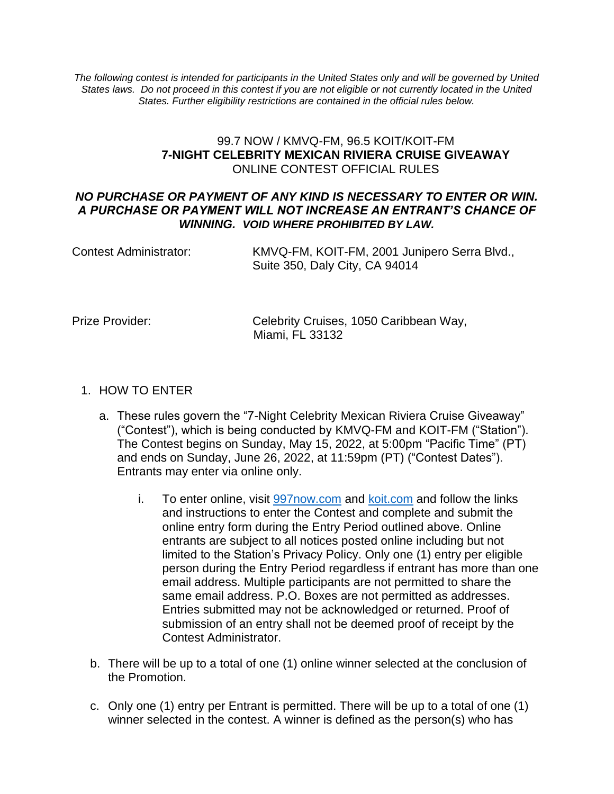*The following contest is intended for participants in the United States only and will be governed by United States laws. Do not proceed in this contest if you are not eligible or not currently located in the United States. Further eligibility restrictions are contained in the official rules below.*

#### 99.7 NOW / KMVQ-FM, 96.5 KOIT/KOIT-FM **7-NIGHT CELEBRITY MEXICAN RIVIERA CRUISE GIVEAWAY** ONLINE CONTEST OFFICIAL RULES

#### *NO PURCHASE OR PAYMENT OF ANY KIND IS NECESSARY TO ENTER OR WIN. A PURCHASE OR PAYMENT WILL NOT INCREASE AN ENTRANT'S CHANCE OF WINNING. VOID WHERE PROHIBITED BY LAW.*

| Contest Administrator: | KMVQ-FM, KOIT-FM, 2001 Junipero Serra Blvd., |
|------------------------|----------------------------------------------|
|                        | Suite 350, Daly City, CA 94014               |

Prize Provider: Celebrity Cruises, 1050 Caribbean Way, Miami, FL 33132

#### 1. HOW TO ENTER

- a. These rules govern the "7-Night Celebrity Mexican Riviera Cruise Giveaway" ("Contest"), which is being conducted by KMVQ-FM and KOIT-FM ("Station"). The Contest begins on Sunday, May 15, 2022, at 5:00pm "Pacific Time" (PT) and ends on Sunday, June 26, 2022, at 11:59pm (PT) ("Contest Dates"). Entrants may enter via online only.
	- i. To enter online, visit [997now.com](https://997now.com/) and [koit.com](https://997now.com/) and follow the links and instructions to enter the Contest and complete and submit the online entry form during the Entry Period outlined above. Online entrants are subject to all notices posted online including but not limited to the Station's Privacy Policy. Only one (1) entry per eligible person during the Entry Period regardless if entrant has more than one email address. Multiple participants are not permitted to share the same email address. P.O. Boxes are not permitted as addresses. Entries submitted may not be acknowledged or returned. Proof of submission of an entry shall not be deemed proof of receipt by the Contest Administrator.
- b. There will be up to a total of one (1) online winner selected at the conclusion of the Promotion.
- c. Only one (1) entry per Entrant is permitted. There will be up to a total of one (1) winner selected in the contest. A winner is defined as the person(s) who has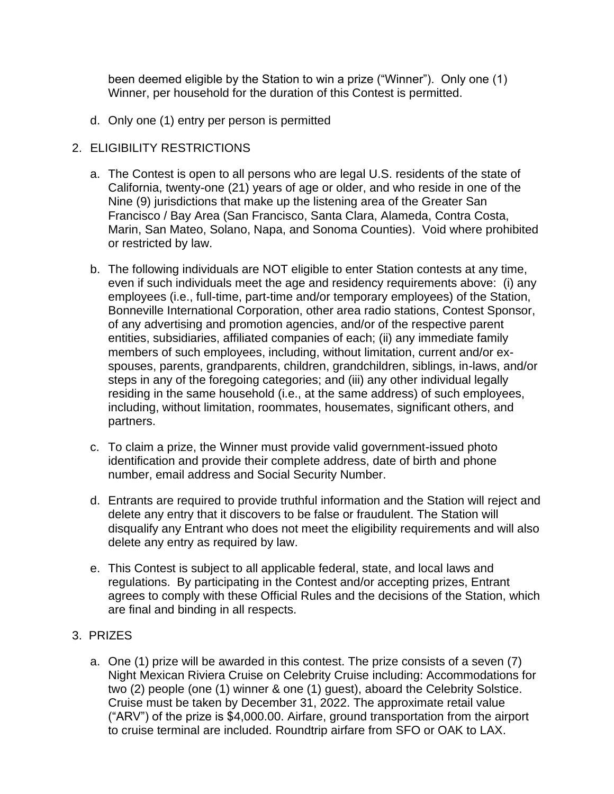been deemed eligible by the Station to win a prize ("Winner"). Only one (1) Winner, per household for the duration of this Contest is permitted.

d. Only one (1) entry per person is permitted

### 2. ELIGIBILITY RESTRICTIONS

- a. The Contest is open to all persons who are legal U.S. residents of the state of California, twenty-one (21) years of age or older, and who reside in one of the Nine (9) jurisdictions that make up the listening area of the Greater San Francisco / Bay Area (San Francisco, Santa Clara, Alameda, Contra Costa, Marin, San Mateo, Solano, Napa, and Sonoma Counties). Void where prohibited or restricted by law.
- b. The following individuals are NOT eligible to enter Station contests at any time, even if such individuals meet the age and residency requirements above: (i) any employees (i.e., full-time, part-time and/or temporary employees) of the Station, Bonneville International Corporation, other area radio stations, Contest Sponsor, of any advertising and promotion agencies, and/or of the respective parent entities, subsidiaries, affiliated companies of each; (ii) any immediate family members of such employees, including, without limitation, current and/or exspouses, parents, grandparents, children, grandchildren, siblings, in-laws, and/or steps in any of the foregoing categories; and (iii) any other individual legally residing in the same household (i.e., at the same address) of such employees, including, without limitation, roommates, housemates, significant others, and partners.
- c. To claim a prize, the Winner must provide valid government-issued photo identification and provide their complete address, date of birth and phone number, email address and Social Security Number.
- d. Entrants are required to provide truthful information and the Station will reject and delete any entry that it discovers to be false or fraudulent. The Station will disqualify any Entrant who does not meet the eligibility requirements and will also delete any entry as required by law.
- e. This Contest is subject to all applicable federal, state, and local laws and regulations. By participating in the Contest and/or accepting prizes, Entrant agrees to comply with these Official Rules and the decisions of the Station, which are final and binding in all respects.

#### 3. PRIZES

a. One (1) prize will be awarded in this contest. The prize consists of a seven (7) Night Mexican Riviera Cruise on Celebrity Cruise including: Accommodations for two (2) people (one (1) winner & one (1) guest), aboard the Celebrity Solstice. Cruise must be taken by December 31, 2022. The approximate retail value ("ARV") of the prize is \$4,000.00. Airfare, ground transportation from the airport to cruise terminal are included. Roundtrip airfare from SFO or OAK to LAX.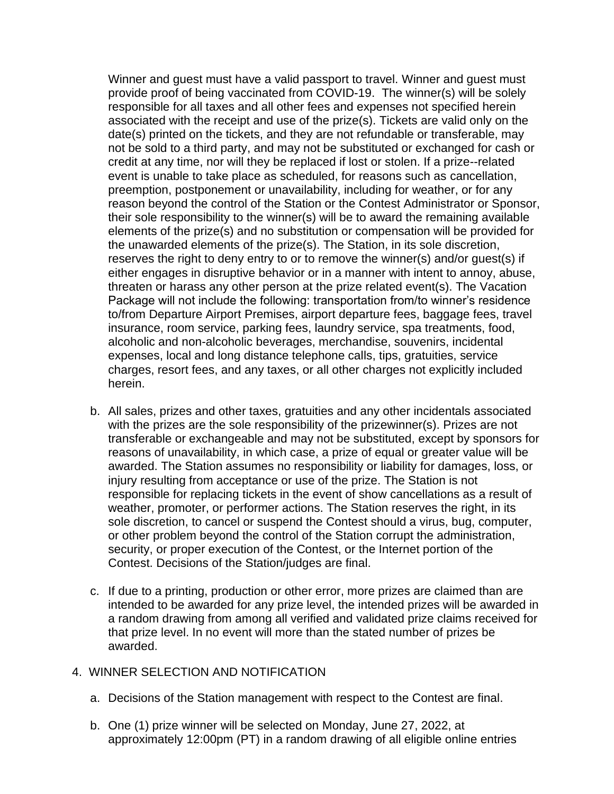Winner and guest must have a valid passport to travel. Winner and guest must provide proof of being vaccinated from COVID-19. The winner(s) will be solely responsible for all taxes and all other fees and expenses not specified herein associated with the receipt and use of the prize(s). Tickets are valid only on the date(s) printed on the tickets, and they are not refundable or transferable, may not be sold to a third party, and may not be substituted or exchanged for cash or credit at any time, nor will they be replaced if lost or stolen. If a prize--related event is unable to take place as scheduled, for reasons such as cancellation, preemption, postponement or unavailability, including for weather, or for any reason beyond the control of the Station or the Contest Administrator or Sponsor, their sole responsibility to the winner(s) will be to award the remaining available elements of the prize(s) and no substitution or compensation will be provided for the unawarded elements of the prize(s). The Station, in its sole discretion, reserves the right to deny entry to or to remove the winner(s) and/or guest(s) if either engages in disruptive behavior or in a manner with intent to annoy, abuse, threaten or harass any other person at the prize related event(s). The Vacation Package will not include the following: transportation from/to winner's residence to/from Departure Airport Premises, airport departure fees, baggage fees, travel insurance, room service, parking fees, laundry service, spa treatments, food, alcoholic and non-alcoholic beverages, merchandise, souvenirs, incidental expenses, local and long distance telephone calls, tips, gratuities, service charges, resort fees, and any taxes, or all other charges not explicitly included herein.

- b. All sales, prizes and other taxes, gratuities and any other incidentals associated with the prizes are the sole responsibility of the prizewinner(s). Prizes are not transferable or exchangeable and may not be substituted, except by sponsors for reasons of unavailability, in which case, a prize of equal or greater value will be awarded. The Station assumes no responsibility or liability for damages, loss, or injury resulting from acceptance or use of the prize. The Station is not responsible for replacing tickets in the event of show cancellations as a result of weather, promoter, or performer actions. The Station reserves the right, in its sole discretion, to cancel or suspend the Contest should a virus, bug, computer, or other problem beyond the control of the Station corrupt the administration, security, or proper execution of the Contest, or the Internet portion of the Contest. Decisions of the Station/judges are final.
- c. If due to a printing, production or other error, more prizes are claimed than are intended to be awarded for any prize level, the intended prizes will be awarded in a random drawing from among all verified and validated prize claims received for that prize level. In no event will more than the stated number of prizes be awarded.

#### 4. WINNER SELECTION AND NOTIFICATION

- a. Decisions of the Station management with respect to the Contest are final.
- b. One (1) prize winner will be selected on Monday, June 27, 2022, at approximately 12:00pm (PT) in a random drawing of all eligible online entries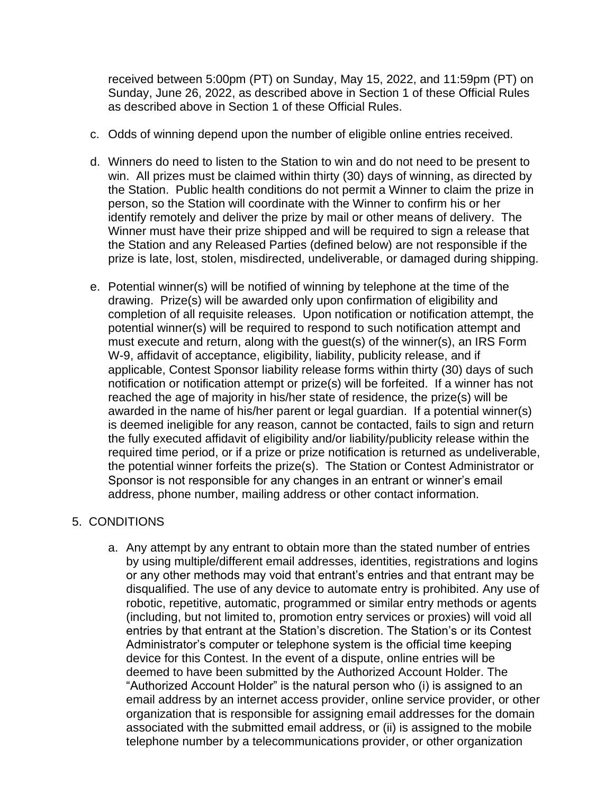received between 5:00pm (PT) on Sunday, May 15, 2022, and 11:59pm (PT) on Sunday, June 26, 2022, as described above in Section 1 of these Official Rules as described above in Section 1 of these Official Rules.

- c. Odds of winning depend upon the number of eligible online entries received.
- d. Winners do need to listen to the Station to win and do not need to be present to win. All prizes must be claimed within thirty (30) days of winning, as directed by the Station. Public health conditions do not permit a Winner to claim the prize in person, so the Station will coordinate with the Winner to confirm his or her identify remotely and deliver the prize by mail or other means of delivery. The Winner must have their prize shipped and will be required to sign a release that the Station and any Released Parties (defined below) are not responsible if the prize is late, lost, stolen, misdirected, undeliverable, or damaged during shipping.
- e. Potential winner(s) will be notified of winning by telephone at the time of the drawing. Prize(s) will be awarded only upon confirmation of eligibility and completion of all requisite releases. Upon notification or notification attempt, the potential winner(s) will be required to respond to such notification attempt and must execute and return, along with the guest(s) of the winner(s), an IRS Form W-9, affidavit of acceptance, eligibility, liability, publicity release, and if applicable, Contest Sponsor liability release forms within thirty (30) days of such notification or notification attempt or prize(s) will be forfeited. If a winner has not reached the age of majority in his/her state of residence, the prize(s) will be awarded in the name of his/her parent or legal guardian. If a potential winner(s) is deemed ineligible for any reason, cannot be contacted, fails to sign and return the fully executed affidavit of eligibility and/or liability/publicity release within the required time period, or if a prize or prize notification is returned as undeliverable, the potential winner forfeits the prize(s). The Station or Contest Administrator or Sponsor is not responsible for any changes in an entrant or winner's email address, phone number, mailing address or other contact information.

# 5. CONDITIONS

a. Any attempt by any entrant to obtain more than the stated number of entries by using multiple/different email addresses, identities, registrations and logins or any other methods may void that entrant's entries and that entrant may be disqualified. The use of any device to automate entry is prohibited. Any use of robotic, repetitive, automatic, programmed or similar entry methods or agents (including, but not limited to, promotion entry services or proxies) will void all entries by that entrant at the Station's discretion. The Station's or its Contest Administrator's computer or telephone system is the official time keeping device for this Contest. In the event of a dispute, online entries will be deemed to have been submitted by the Authorized Account Holder. The "Authorized Account Holder" is the natural person who (i) is assigned to an email address by an internet access provider, online service provider, or other organization that is responsible for assigning email addresses for the domain associated with the submitted email address, or (ii) is assigned to the mobile telephone number by a telecommunications provider, or other organization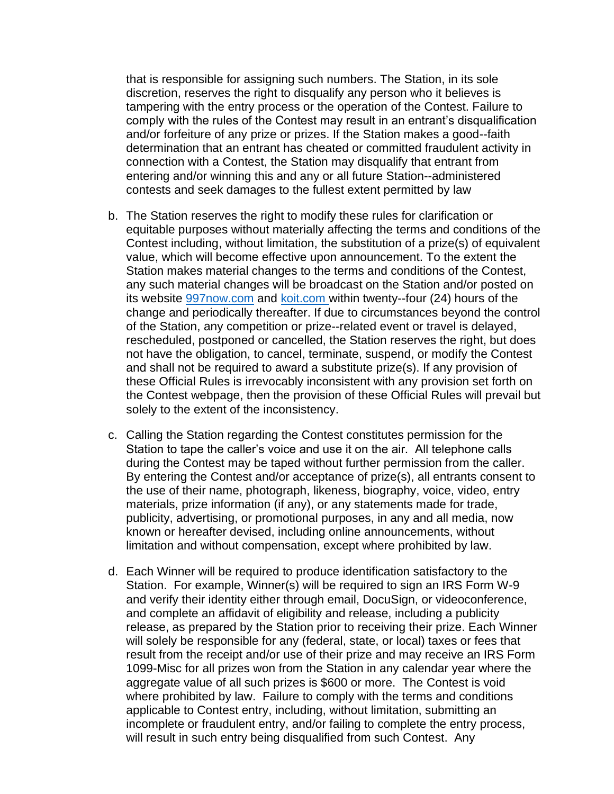that is responsible for assigning such numbers. The Station, in its sole discretion, reserves the right to disqualify any person who it believes is tampering with the entry process or the operation of the Contest. Failure to comply with the rules of the Contest may result in an entrant's disqualification and/or forfeiture of any prize or prizes. If the Station makes a good--faith determination that an entrant has cheated or committed fraudulent activity in connection with a Contest, the Station may disqualify that entrant from entering and/or winning this and any or all future Station--administered contests and seek damages to the fullest extent permitted by law

- b. The Station reserves the right to modify these rules for clarification or equitable purposes without materially affecting the terms and conditions of the Contest including, without limitation, the substitution of a prize(s) of equivalent value, which will become effective upon announcement. To the extent the Station makes material changes to the terms and conditions of the Contest, any such material changes will be broadcast on the Station and/or posted on its website [997now.com](https://997now.com/) and [koit.com](https://997now.com/) within twenty--four (24) hours of the change and periodically thereafter. If due to circumstances beyond the control of the Station, any competition or prize--related event or travel is delayed, rescheduled, postponed or cancelled, the Station reserves the right, but does not have the obligation, to cancel, terminate, suspend, or modify the Contest and shall not be required to award a substitute prize(s). If any provision of these Official Rules is irrevocably inconsistent with any provision set forth on the Contest webpage, then the provision of these Official Rules will prevail but solely to the extent of the inconsistency.
- c. Calling the Station regarding the Contest constitutes permission for the Station to tape the caller's voice and use it on the air. All telephone calls during the Contest may be taped without further permission from the caller. By entering the Contest and/or acceptance of prize(s), all entrants consent to the use of their name, photograph, likeness, biography, voice, video, entry materials, prize information (if any), or any statements made for trade, publicity, advertising, or promotional purposes, in any and all media, now known or hereafter devised, including online announcements, without limitation and without compensation, except where prohibited by law.
- d. Each Winner will be required to produce identification satisfactory to the Station. For example, Winner(s) will be required to sign an IRS Form W-9 and verify their identity either through email, DocuSign, or videoconference, and complete an affidavit of eligibility and release, including a publicity release, as prepared by the Station prior to receiving their prize. Each Winner will solely be responsible for any (federal, state, or local) taxes or fees that result from the receipt and/or use of their prize and may receive an IRS Form 1099-Misc for all prizes won from the Station in any calendar year where the aggregate value of all such prizes is \$600 or more. The Contest is void where prohibited by law. Failure to comply with the terms and conditions applicable to Contest entry, including, without limitation, submitting an incomplete or fraudulent entry, and/or failing to complete the entry process, will result in such entry being disqualified from such Contest. Any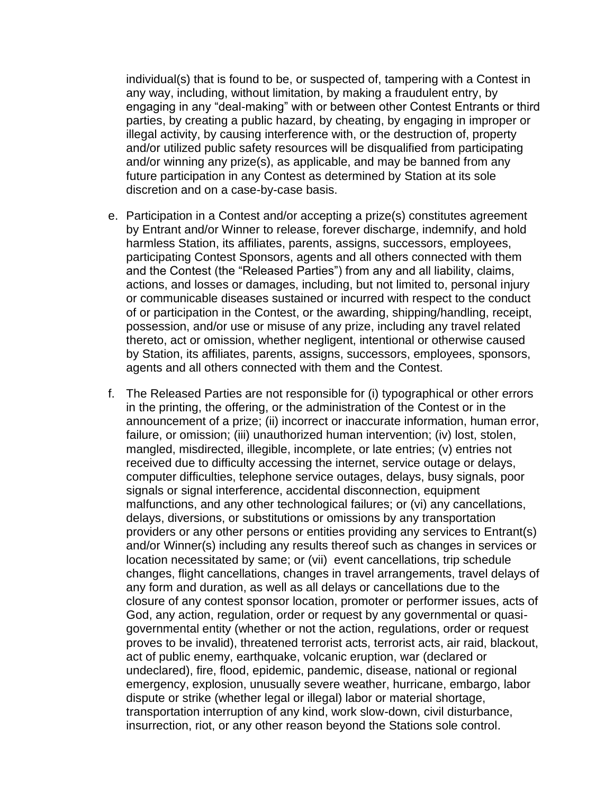individual(s) that is found to be, or suspected of, tampering with a Contest in any way, including, without limitation, by making a fraudulent entry, by engaging in any "deal-making" with or between other Contest Entrants or third parties, by creating a public hazard, by cheating, by engaging in improper or illegal activity, by causing interference with, or the destruction of, property and/or utilized public safety resources will be disqualified from participating and/or winning any prize(s), as applicable, and may be banned from any future participation in any Contest as determined by Station at its sole discretion and on a case-by-case basis.

- e. Participation in a Contest and/or accepting a prize(s) constitutes agreement by Entrant and/or Winner to release, forever discharge, indemnify, and hold harmless Station, its affiliates, parents, assigns, successors, employees, participating Contest Sponsors, agents and all others connected with them and the Contest (the "Released Parties") from any and all liability, claims, actions, and losses or damages, including, but not limited to, personal injury or communicable diseases sustained or incurred with respect to the conduct of or participation in the Contest, or the awarding, shipping/handling, receipt, possession, and/or use or misuse of any prize, including any travel related thereto, act or omission, whether negligent, intentional or otherwise caused by Station, its affiliates, parents, assigns, successors, employees, sponsors, agents and all others connected with them and the Contest.
- f. The Released Parties are not responsible for (i) typographical or other errors in the printing, the offering, or the administration of the Contest or in the announcement of a prize; (ii) incorrect or inaccurate information, human error, failure, or omission; (iii) unauthorized human intervention; (iv) lost, stolen, mangled, misdirected, illegible, incomplete, or late entries; (v) entries not received due to difficulty accessing the internet, service outage or delays, computer difficulties, telephone service outages, delays, busy signals, poor signals or signal interference, accidental disconnection, equipment malfunctions, and any other technological failures; or (vi) any cancellations, delays, diversions, or substitutions or omissions by any transportation providers or any other persons or entities providing any services to Entrant(s) and/or Winner(s) including any results thereof such as changes in services or location necessitated by same; or (vii) event cancellations, trip schedule changes, flight cancellations, changes in travel arrangements, travel delays of any form and duration, as well as all delays or cancellations due to the closure of any contest sponsor location, promoter or performer issues, acts of God, any action, regulation, order or request by any governmental or quasigovernmental entity (whether or not the action, regulations, order or request proves to be invalid), threatened terrorist acts, terrorist acts, air raid, blackout, act of public enemy, earthquake, volcanic eruption, war (declared or undeclared), fire, flood, epidemic, pandemic, disease, national or regional emergency, explosion, unusually severe weather, hurricane, embargo, labor dispute or strike (whether legal or illegal) labor or material shortage, transportation interruption of any kind, work slow-down, civil disturbance, insurrection, riot, or any other reason beyond the Stations sole control.